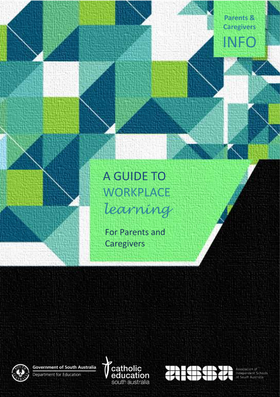**Parents & Caregivers** INFO

# A GUIDE TO **WORKPLACE** *learning*

For Parents and **Caregivers** 

**Government of South Australia** Department for Education





Association of<br>Independent Schools<br>of South Australia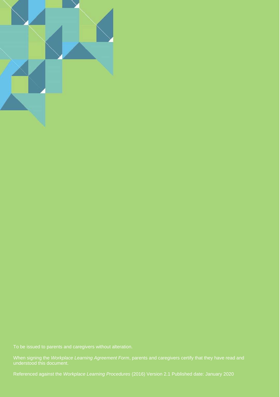

When signing the *Workplace Learning Agreement Form*, parents and caregivers certify that they have read and

Referenced against the *Workplace Learning Procedures* (2016) Version 2.1 Published date: January 2020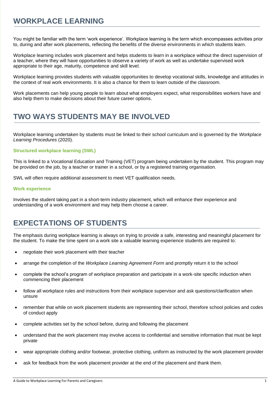### **WORKPLACE LEARNING**

You might be familiar with the term 'work experience'. Workplace learning is the term which encompasses activities prior to, during and after work placements, reflecting the benefits of the diverse environments in which students learn.

Workplace learning includes work placement and helps students to learn in a workplace without the direct supervision of a teacher, where they will have opportunities to observe a variety of work as well as undertake supervised work appropriate to their age, maturity, competence and skill level.

Workplace learning provides students with valuable opportunities to develop vocational skills, knowledge and attitudes in the context of real work environments. It is also a chance for them to learn outside of the classroom.

Work placements can help young people to learn about what employers expect, what responsibilities workers have and also help them to make decisions about their future career options.

## **TWO WAYS STUDENTS MAY BE INVOLVED**

Workplace learning undertaken by students must be linked to their school curriculum and is governed by the *Workplace Learning Procedures* (2020).

#### **Structured workplace learning (SWL)**

This is linked to a Vocational Education and Training (VET) program being undertaken by the student. This program may be provided on the job, by a teacher or trainer in a school, or by a registered training organisation.

SWL will often require additional assessment to meet VET qualification needs.

#### **Work experience**

Involves the student taking part in a short-term industry placement, which will enhance their experience and understanding of a work environment and may help them choose a career.

### **EXPECTATIONS OF STUDENTS**

The emphasis during workplace learning is always on trying to provide a safe, interesting and meaningful placement for the student. To make the time spent on a work site a valuable learning experience students are required to:

- negotiate their work placement with their teacher
- arrange the completion of the *Workplace Learning Agreement Form* and promptly return it to the school
- complete the school's program of workplace preparation and participate in a work-site specific induction when commencing their placement
- follow all workplace rules and instructions from their workplace supervisor and ask questions/clarification when unsure
- remember that while on work placement students are representing their school, therefore school policies and codes of conduct apply
- complete activities set by the school before, during and following the placement
- understand that the work placement may involve access to confidential and sensitive information that must be kept private
- wear appropriate clothing and/or footwear, protective clothing, uniform as instructed by the work placement provider
- ask for feedback from the work placement provider at the end of the placement and thank them.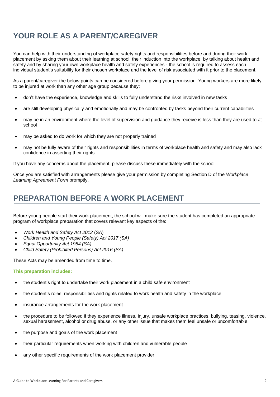## **YOUR ROLE AS A PARENT/CAREGIVER**

You can help with their understanding of workplace safety rights and responsibilities before and during their work placement by asking them about their learning at school, their induction into the workplace, by talking about health and safety and by sharing your own workplace health and safety experiences - the school is required to assess each individual student's suitability for their chosen workplace and the level of risk associated with it prior to the placement.

As a parent/caregiver the below points can be considered before giving your permission. Young workers are more likely to be injured at work than any other age group because they:

- don't have the experience, knowledge and skills to fully understand the risks involved in new tasks
- are still developing physically and emotionally and may be confronted by tasks beyond their current capabilities
- may be in an environment where the level of supervision and guidance they receive is less than they are used to at school
- may be asked to do work for which they are not properly trained
- may not be fully aware of their rights and responsibilities in terms of workplace health and safety and may also lack confidence in asserting their rights.

If you have any concerns about the placement, please discuss these immediately with the school.

Once you are satisfied with arrangements please give your permission by completing Section D of the *Workplace Learning Agreement Form* promptly.

### **PREPARATION BEFORE A WORK PLACEMENT**

Before young people start their work placement, the school will make sure the student has completed an appropriate program of workplace preparation that covers relevant key aspects of the:

- *Work Health and Safety Act 2012* (SA)
- *Children and Young People (Safety) Act 2017 (SA)*
- *Equal Opportunity Act 1984 (SA).*
- *Child Safety (Prohibited Persons) Act 2016 (SA)*

These Acts may be amended from time to time.

#### **This preparation includes:**

- the student's right to undertake their work placement in a child safe environment
- the student's roles, responsibilities and rights related to work health and safety in the workplace
- insurance arrangements for the work placement
- the procedure to be followed if they experience illness, injury, unsafe workplace practices, bullying, teasing, violence, sexual harassment, alcohol or drug abuse, or any other issue that makes them feel unsafe or uncomfortable
- the purpose and goals of the work placement
- their particular requirements when working with children and vulnerable people
- any other specific requirements of the work placement provider.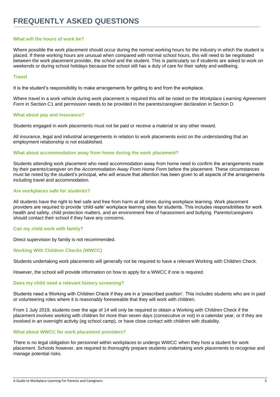#### **What will the hours of work be?**

Where possible the work placement should occur during the normal working hours for the industry in which the student is placed. If these working hours are unusual when compared with normal school hours, this will need to be negotiated between the work placement provider, the school and the student. This is particularly so if students are asked to work on weekends or during school holidays because the school still has a duty of care for their safety and wellbeing.

#### **Travel**

It is the student's responsibility to make arrangements for getting to and from the workplace.

Where travel in a work vehicle during work placement is required this will be noted on the *Workplace Learning Agreement Form* in Section C1 and permission needs to be provided in the parents/caregiver declaration in Section D.

#### **What about pay and insurance?**

Students engaged in work placements must not be paid or receive a material or any other reward.

All insurance, legal and industrial arrangements in relation to work placements exist on the understanding that an employment relationship is not established.

#### **What about accommodation away from home during the work placement?**

Students attending work placement who need accommodation away from home need to confirm the arrangements made by their parents/caregiver on the *Accommodation Away From Home Form* before the placement. These circumstances must be noted by the student's principal, who will ensure that attention has been given to all aspects of the arrangements including travel and accommodation.

#### **Are workplaces safe for students?**

All students have the right to feel safe and free from harm at all times during workplace learning. Work placement providers are required to provide 'child-safe' workplace learning sites for students. This includes responsibilities for work health and safety, child protection matters, and an environment free of harassment and bullying. Parents/caregivers should contact their school if they have any concerns.

#### **Can my child work with family?**

Direct supervision by family is not recommended.

#### **Working With Children Checks (WWCC)**

Students undertaking work placements will generally not be required to have a relevant Working with Children Check.

However, the school will provide information on how to apply for a WWCC if one is required.

#### **Does my child need a relevant history screening?**

Students need a Working with Children Check if they are in a 'prescribed position'. This includes students who are in paid or volunteering roles where it is reasonably foreseeable that they will work with children.

From 1 July 2019, students over the age of 14 will only be required to obtain a Working with Children Check if the placement involves working with children for more than seven days (consecutive or not) in a calendar year, or if they are involved in an overnight activity (eg school camp), or have close contact with children with disability.

#### **What about WWCC for work placement providers?**

There is no legal obligation for personnel within workplaces to undergo WWCC when they host a student for work placement. Schools however, are required to thoroughly prepare students undertaking work placements to recognise and manage potential risks.